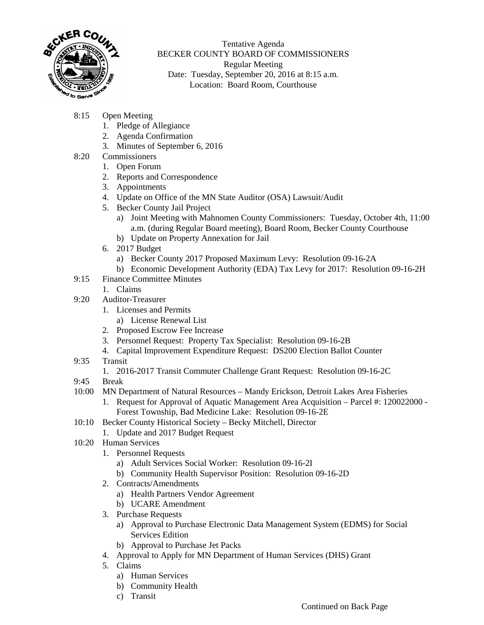

Tentative Agenda BECKER COUNTY BOARD OF COMMISSIONERS Regular Meeting Date: Tuesday, September 20, 2016 at 8:15 a.m. Location: Board Room, Courthouse

- 8:15 Open Meeting
	- 1. Pledge of Allegiance
	- 2. Agenda Confirmation
	- 3. Minutes of September 6, 2016
- 8:20 Commissioners
	- 1. Open Forum
	- 2. Reports and Correspondence
	- 3. Appointments
	- 4. Update on Office of the MN State Auditor (OSA) Lawsuit/Audit
	- 5. Becker County Jail Project
		- a) Joint Meeting with Mahnomen County Commissioners: Tuesday, October 4th, 11:00 a.m. (during Regular Board meeting), Board Room, Becker County Courthouse
		- b) Update on Property Annexation for Jail
	- 6. 2017 Budget
		- a) Becker County 2017 Proposed Maximum Levy: Resolution 09-16-2A
		- b) Economic Development Authority (EDA) Tax Levy for 2017: Resolution 09-16-2H
- 9:15 Finance Committee Minutes
	- 1. Claims
- 9:20 Auditor-Treasurer
	- 1. Licenses and Permits
		- a) License Renewal List
	- 2. Proposed Escrow Fee Increase
	- 3. Personnel Request: Property Tax Specialist: Resolution 09-16-2B
	- 4. Capital Improvement Expenditure Request: DS200 Election Ballot Counter
- 9:35 Transit
	- 1. 2016-2017 Transit Commuter Challenge Grant Request: Resolution 09-16-2C
- 9:45 Break
- 10:00 MN Department of Natural Resources Mandy Erickson, Detroit Lakes Area Fisheries
	- 1. Request for Approval of Aquatic Management Area Acquisition Parcel #: 120022000 Forest Township, Bad Medicine Lake: Resolution 09-16-2E
- 10:10 Becker County Historical Society Becky Mitchell, Director
	- 1. Update and 2017 Budget Request
- 10:20 Human Services
	- 1. Personnel Requests
		- a) Adult Services Social Worker: Resolution 09-16-2I
		- b) Community Health Supervisor Position: Resolution 09-16-2D
	- 2. Contracts/Amendments
		- a) Health Partners Vendor Agreement
		- b) UCARE Amendment
	- 3. Purchase Requests
		- a) Approval to Purchase Electronic Data Management System (EDMS) for Social Services Edition
		- b) Approval to Purchase Jet Packs
	- 4. Approval to Apply for MN Department of Human Services (DHS) Grant
	- 5. Claims
		- a) Human Services
		- b) Community Health
		- c) Transit